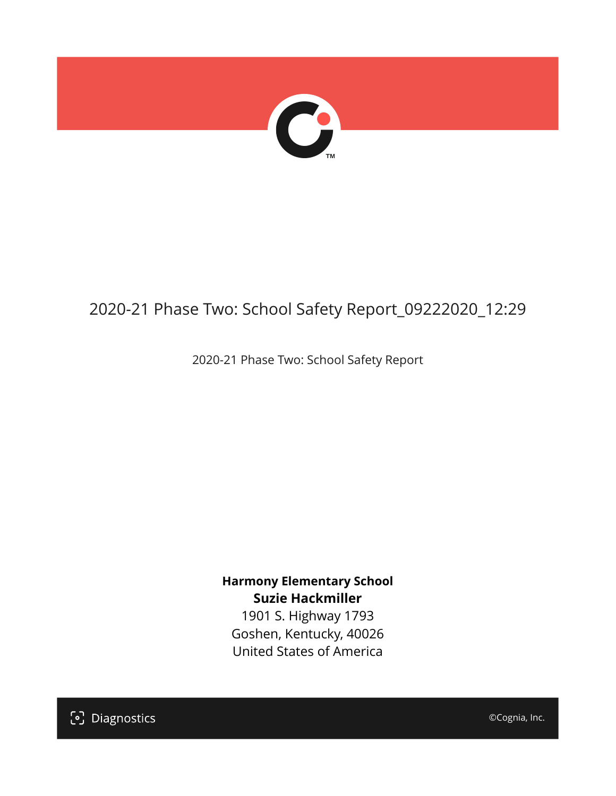

## 2020-21 Phase Two: School Safety Report\_09222020\_12:29

2020-21 Phase Two: School Safety Report

**Harmony Elementary School Suzie Hackmiller**

1901 S. Highway 1793 Goshen, Kentucky, 40026 United States of America

[၁] Diagnostics

©Cognia, Inc.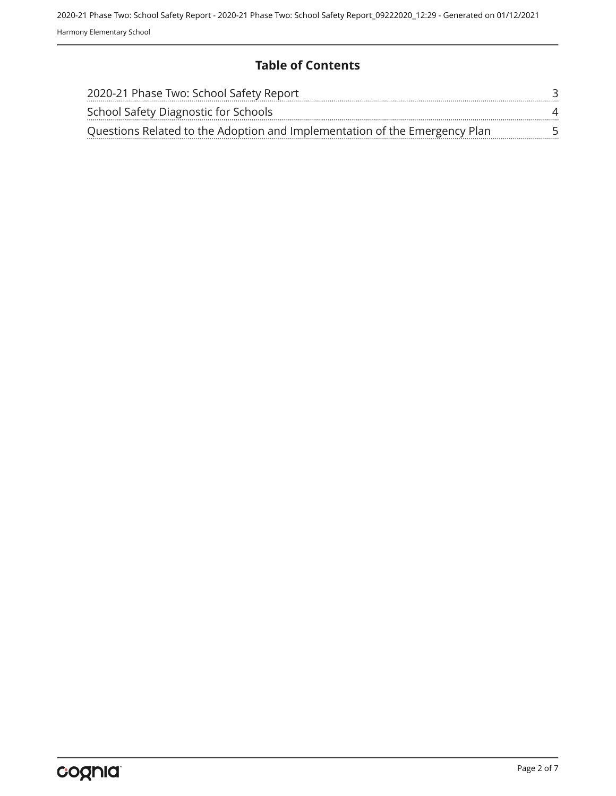#### **Table of Contents**

| 2020-21 Phase Two: School Safety Report                                    |   |
|----------------------------------------------------------------------------|---|
| School Safety Diagnostic for Schools                                       | Δ |
| Questions Related to the Adoption and Implementation of the Emergency Plan |   |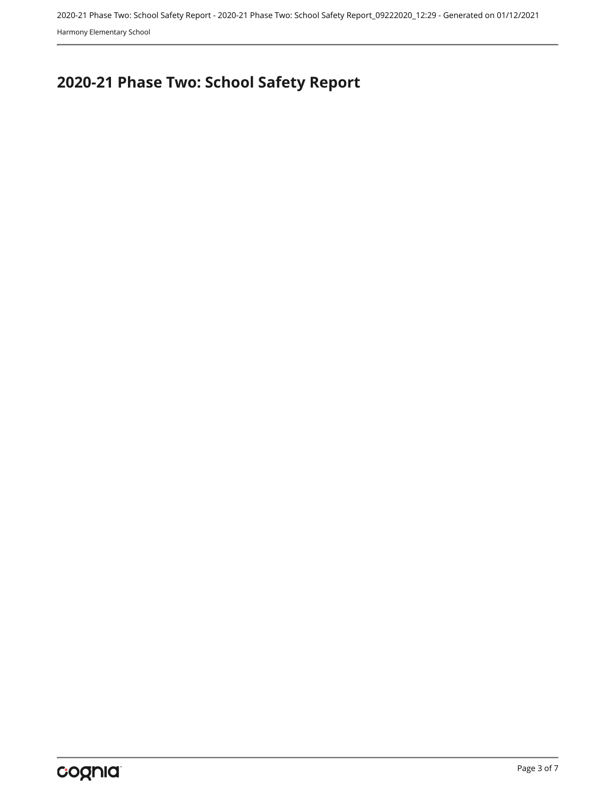2020-21 Phase Two: School Safety Report - 2020-21 Phase Two: School Safety Report\_09222020\_12:29 - Generated on 01/12/2021 Harmony Elementary School

# <span id="page-2-0"></span>**2020-21 Phase Two: School Safety Report**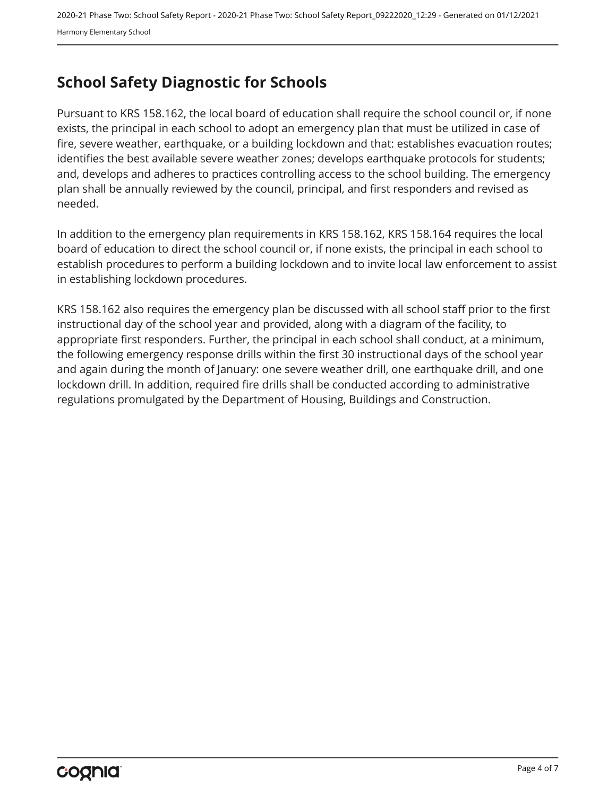### <span id="page-3-0"></span>**School Safety Diagnostic for Schools**

Pursuant to KRS 158.162, the local board of education shall require the school council or, if none exists, the principal in each school to adopt an emergency plan that must be utilized in case of fire, severe weather, earthquake, or a building lockdown and that: establishes evacuation routes; identifies the best available severe weather zones; develops earthquake protocols for students; and, develops and adheres to practices controlling access to the school building. The emergency plan shall be annually reviewed by the council, principal, and first responders and revised as needed.

In addition to the emergency plan requirements in KRS 158.162, KRS 158.164 requires the local board of education to direct the school council or, if none exists, the principal in each school to establish procedures to perform a building lockdown and to invite local law enforcement to assist in establishing lockdown procedures.

KRS 158.162 also requires the emergency plan be discussed with all school staff prior to the first instructional day of the school year and provided, along with a diagram of the facility, to appropriate first responders. Further, the principal in each school shall conduct, at a minimum, the following emergency response drills within the first 30 instructional days of the school year and again during the month of January: one severe weather drill, one earthquake drill, and one lockdown drill. In addition, required fire drills shall be conducted according to administrative regulations promulgated by the Department of Housing, Buildings and Construction.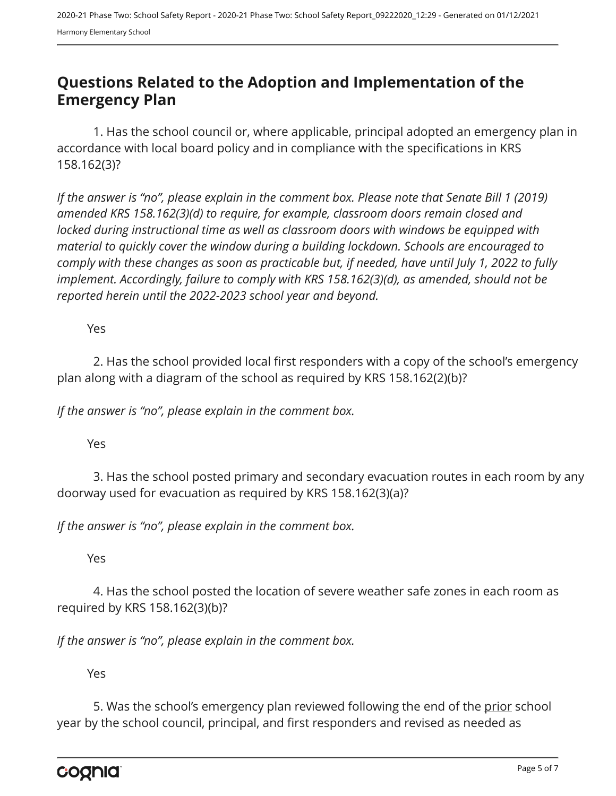#### <span id="page-4-0"></span>**Questions Related to the Adoption and Implementation of the Emergency Plan**

1. Has the school council or, where applicable, principal adopted an emergency plan in accordance with local board policy and in compliance with the specifications in KRS 158.162(3)?

*If the answer is "no", please explain in the comment box. Please note that Senate Bill 1 (2019) amended KRS 158.162(3)(d) to require, for example, classroom doors remain closed and locked during instructional time as well as classroom doors with windows be equipped with material to quickly cover the window during a building lockdown. Schools are encouraged to comply with these changes as soon as practicable but, if needed, have until July 1, 2022 to fully implement. Accordingly, failure to comply with KRS 158.162(3)(d), as amended, should not be reported herein until the 2022-2023 school year and beyond.*

Yes

2. Has the school provided local first responders with a copy of the school's emergency plan along with a diagram of the school as required by KRS 158.162(2)(b)?

*If the answer is "no", please explain in the comment box.*

Yes

3. Has the school posted primary and secondary evacuation routes in each room by any doorway used for evacuation as required by KRS 158.162(3)(a)?

*If the answer is "no", please explain in the comment box.*

Yes

4. Has the school posted the location of severe weather safe zones in each room as required by KRS 158.162(3)(b)?

*If the answer is "no", please explain in the comment box.*

Yes

5. Was the school's emergency plan reviewed following the end of the prior school year by the school council, principal, and first responders and revised as needed as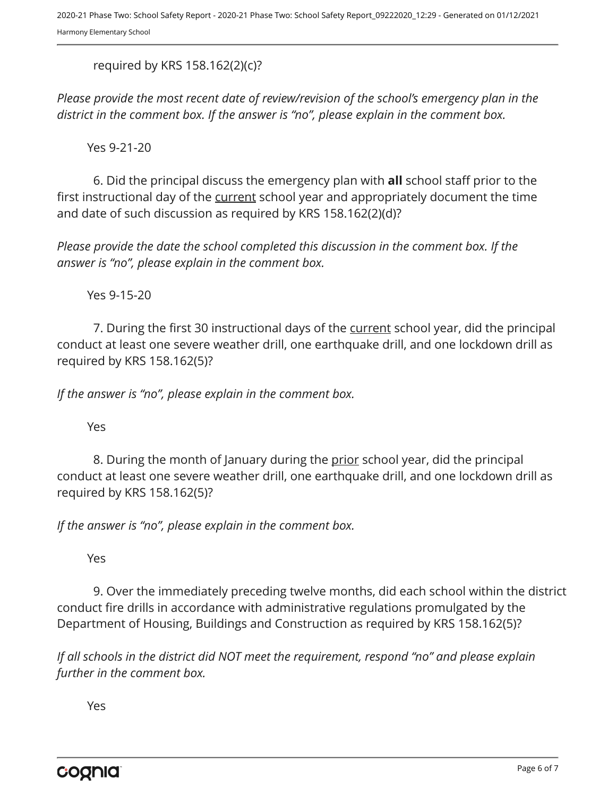required by KRS 158.162(2)(c)?

*Please provide the most recent date of review/revision of the school's emergency plan in the district in the comment box. If the answer is "no", please explain in the comment box.* 

Yes 9-21-20

6. Did the principal discuss the emergency plan with **all** school staff prior to the first instructional day of the current school year and appropriately document the time and date of such discussion as required by KRS 158.162(2)(d)?

*Please provide the date the school completed this discussion in the comment box. If the answer is "no", please explain in the comment box.*

Yes 9-15-20

7. During the first 30 instructional days of the current school year, did the principal conduct at least one severe weather drill, one earthquake drill, and one lockdown drill as required by KRS 158.162(5)?

*If the answer is "no", please explain in the comment box.*

Yes

8. During the month of January during the prior school year, did the principal conduct at least one severe weather drill, one earthquake drill, and one lockdown drill as required by KRS 158.162(5)?

*If the answer is "no", please explain in the comment box.*

Yes

9. Over the immediately preceding twelve months, did each school within the district conduct fire drills in accordance with administrative regulations promulgated by the Department of Housing, Buildings and Construction as required by KRS 158.162(5)?

*If all schools in the district did NOT meet the requirement, respond "no" and please explain further in the comment box.* 

Yes